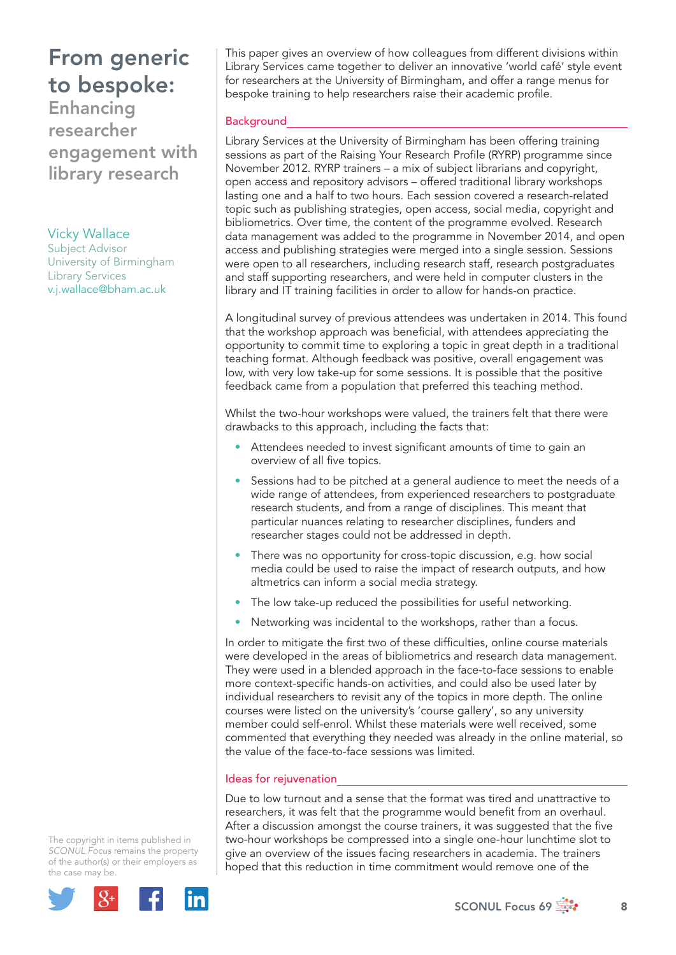## From generic to bespoke:

Enhancing researcher engagement with library research

Vicky Wallace Subject Advisor University of Birmingham Library Services v.j.wallace@bham.ac.uk

This paper gives an overview of how colleagues from different divisions within Library Services came together to deliver an innovative 'world café' style event for researchers at the University of Birmingham, and offer a range menus for bespoke training to help researchers raise their academic profile.

#### **Background**

Library Services at the University of Birmingham has been offering training sessions as part of the Raising Your Research Profile (RYRP) programme since November 2012. RYRP trainers – a mix of subject librarians and copyright, open access and repository advisors – offered traditional library workshops lasting one and a half to two hours. Each session covered a research-related topic such as publishing strategies, open access, social media, copyright and bibliometrics. Over time, the content of the programme evolved. Research data management was added to the programme in November 2014, and open access and publishing strategies were merged into a single session. Sessions were open to all researchers, including research staff, research postgraduates and staff supporting researchers, and were held in computer clusters in the library and IT training facilities in order to allow for hands-on practice.

A longitudinal survey of previous attendees was undertaken in 2014. This found that the workshop approach was beneficial, with attendees appreciating the opportunity to commit time to exploring a topic in great depth in a traditional teaching format. Although feedback was positive, overall engagement was low, with very low take-up for some sessions. It is possible that the positive feedback came from a population that preferred this teaching method.

Whilst the two-hour workshops were valued, the trainers felt that there were drawbacks to this approach, including the facts that:

- Attendees needed to invest significant amounts of time to gain an overview of all five topics.
- Sessions had to be pitched at a general audience to meet the needs of a wide range of attendees, from experienced researchers to postgraduate research students, and from a range of disciplines. This meant that particular nuances relating to researcher disciplines, funders and researcher stages could not be addressed in depth.
- There was no opportunity for cross-topic discussion, e.g. how social media could be used to raise the impact of research outputs, and how altmetrics can inform a social media strategy.
- The low take-up reduced the possibilities for useful networking.
- Networking was incidental to the workshops, rather than a focus.

In order to mitigate the first two of these difficulties, online course materials were developed in the areas of bibliometrics and research data management. They were used in a blended approach in the face-to-face sessions to enable more context-specific hands-on activities, and could also be used later by individual researchers to revisit any of the topics in more depth. The online courses were listed on the university's 'course gallery', so any university member could self-enrol. Whilst these materials were well received, some commented that everything they needed was already in the online material, so the value of the face-to-face sessions was limited.

#### Ideas for rejuvenation

Due to low turnout and a sense that the format was tired and unattractive to researchers, it was felt that the programme would benefit from an overhaul. After a discussion amongst the course trainers, it was suggested that the five two-hour workshops be compressed into a single one-hour lunchtime slot to give an overview of the issues facing researchers in academia. The trainers hoped that this reduction in time commitment would remove one of the

The copyright in items published in *SCONUL Focus* remains the property of the author(s) or their employers as the case may be.



 $SCONUL$  Focus 69  $\frac{1}{200}$  8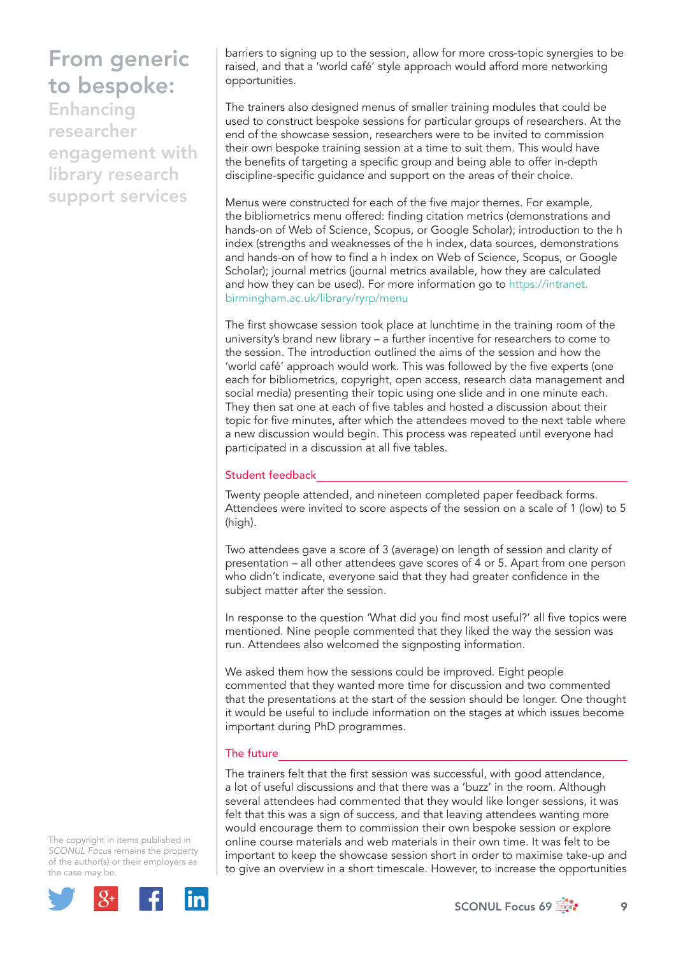## From generic to bespoke:

Enhancing researcher engagement with library research support services

barriers to signing up to the session, allow for more cross-topic synergies to be raised, and that a 'world café' style approach would afford more networking opportunities.

The trainers also designed menus of smaller training modules that could be used to construct bespoke sessions for particular groups of researchers. At the end of the showcase session, researchers were to be invited to commission their own bespoke training session at a time to suit them. This would have the benefits of targeting a specific group and being able to offer in-depth discipline-specific guidance and support on the areas of their choice.

Menus were constructed for each of the five major themes. For example, the bibliometrics menu offered: finding citation metrics (demonstrations and hands-on of Web of Science, Scopus, or Google Scholar); introduction to the h index (strengths and weaknesses of the h index, data sources, demonstrations and hands-on of how to find a h index on Web of Science, Scopus, or Google Scholar); journal metrics (journal metrics available, how they are calculated and how they can be used). For more information go to https://intranet. birmingham.ac.uk/library/ryrp/menu

The first showcase session took place at lunchtime in the training room of the university's brand new library – a further incentive for researchers to come to the session. The introduction outlined the aims of the session and how the 'world café' approach would work. This was followed by the five experts (one each for bibliometrics, copyright, open access, research data management and social media) presenting their topic using one slide and in one minute each. They then sat one at each of five tables and hosted a discussion about their topic for five minutes, after which the attendees moved to the next table where a new discussion would begin. This process was repeated until everyone had participated in a discussion at all five tables.

### Student feedback

Twenty people attended, and nineteen completed paper feedback forms. Attendees were invited to score aspects of the session on a scale of 1 (low) to 5 (high).

Two attendees gave a score of 3 (average) on length of session and clarity of presentation – all other attendees gave scores of 4 or 5. Apart from one person who didn't indicate, everyone said that they had greater confidence in the subject matter after the session.

In response to the question 'What did you find most useful?' all five topics were mentioned. Nine people commented that they liked the way the session was run. Attendees also welcomed the signposting information.

We asked them how the sessions could be improved. Eight people commented that they wanted more time for discussion and two commented that the presentations at the start of the session should be longer. One thought it would be useful to include information on the stages at which issues become important during PhD programmes.

### The future

The trainers felt that the first session was successful, with good attendance, a lot of useful discussions and that there was a 'buzz' in the room. Although several attendees had commented that they would like longer sessions, it was felt that this was a sign of success, and that leaving attendees wanting more would encourage them to commission their own bespoke session or explore online course materials and web materials in their own time. It was felt to be important to keep the showcase session short in order to maximise take-up and to give an overview in a short timescale. However, to increase the opportunities

The copyright in items published in *SCONUL Focus* remains the property of the author(s) or their employers as the case may be.